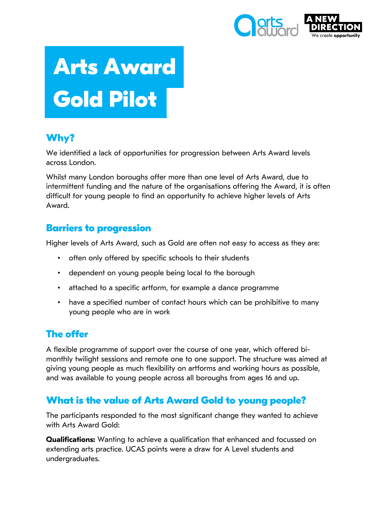

# **Arts Award Gold Pilot**

# **Why?**

We identified a lack of opportunities for progression between Arts Award levels across London.

Whilst many London boroughs offer more than one level of Arts Award, due to intermittent funding and the nature of the organisations offering the Award, it is often difficult for young people to find an opportunity to achieve higher levels of Arts Award.

# **Barriers to progression**

Higher levels of Arts Award, such as Gold are often not easy to access as they are:

- often only offered by specific schools to their students
- dependent on young people being local to the borough
- attached to a specific artform, for example a dance programme
- have a specified number of contact hours which can be prohibitive to many young people who are in work

# **The offer**

A flexible programme of support over the course of one year, which offered bimonthly twilight sessions and remote one to one support. The structure was aimed at giving young people as much flexibility on artforms and working hours as possible, and was available to young people across all boroughs from ages 16 and up.

# **What is the value of Arts Award Gold to young people?**

The participants responded to the most significant change they wanted to achieve with Arts Award Gold:

**Qualifications:** Wanting to achieve a qualification that enhanced and focussed on extending arts practice. UCAS points were a draw for A Level students and undergraduates.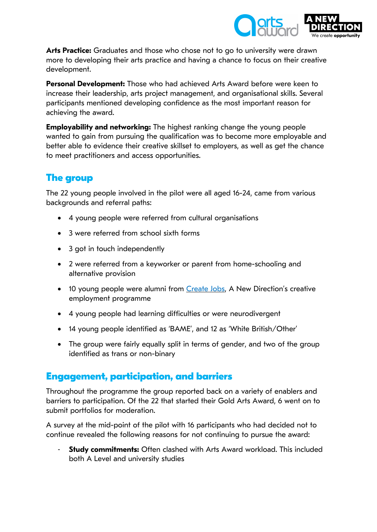

**Arts Practice:** Graduates and those who chose not to go to university were drawn more to developing their arts practice and having a chance to focus on their creative development.

**Personal Development:** Those who had achieved Arts Award before were keen to increase their leadership, arts project management, and organisational skills. Several participants mentioned developing confidence as the most important reason for achieving the award.

**Employability and networking:** The highest ranking change the young people wanted to gain from pursuing the qualification was to become more employable and better able to evidence their creative skillset to employers, as well as get the chance to meet practitioners and access opportunities.

# **The group**

The 22 young people involved in the pilot were all aged 16-24, came from various backgrounds and referral paths:

- 4 young people were referred from cultural organisations
- 3 were referred from school sixth forms
- 3 got in touch independently
- 2 were referred from a keyworker or parent from home-schooling and alternative provision
- 10 young people were alumni from [Create](https://www.createjobslondon.org/) Jobs, A New Direction's creative employment programme
- 4 young people had learning difficulties or were neurodivergent
- 14 young people identified as 'BAME', and 12 as 'White British/Other'
- The group were fairly equally split in terms of gender, and two of the group identified as trans or non-binary

# **Engagement, participation, and barriers**

Throughout the programme the group reported back on a variety of enablers and barriers to participation. Of the 22 that started their Gold Arts Award, 6 went on to submit portfolios for moderation.

A survey at the mid-point of the pilot with 16 participants who had decided not to continue revealed the following reasons for not continuing to pursue the award:

**Study commitments:** Often clashed with Arts Award workload. This included both A Level and university studies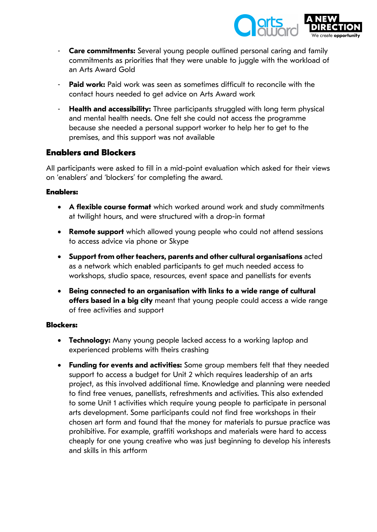

- **Care commitments:** Several young people outlined personal caring and family commitments as priorities that they were unable to juggle with the workload of an Arts Award Gold
- **Paid work:** Paid work was seen as sometimes difficult to reconcile with the contact hours needed to get advice on Arts Award work
- **Health and accessibility:** Three participants struggled with long term physical and mental health needs. One felt she could not access the programme because she needed a personal support worker to help her to get to the premises, and this support was not available

#### **Enablers and Blockers**

All participants were asked to fill in a mid-point evaluation which asked for their views on 'enablers' and 'blockers' for completing the award.

#### **Enablers:**

- **A flexible course format** which worked around work and study commitments at twilight hours, and were structured with a drop-in format
- **Remote support** which allowed young people who could not attend sessions to access advice via phone or Skype
- **Support from other teachers, parents and other cultural organisations** acted as a network which enabled participants to get much needed access to workshops, studio space, resources, event space and panellists for events
- **Being connected to an organisation with links to a wide range of cultural offers based in a big city** meant that young people could access a wide range of free activities and support

#### **Blockers:**

- **Technology:** Many young people lacked access to a working laptop and experienced problems with theirs crashing
- **Funding for events and activities:** Some group members felt that they needed support to access a budget for Unit 2 which requires leadership of an arts project, as this involved additional time. Knowledge and planning were needed to find free venues, panellists, refreshments and activities. This also extended to some Unit 1 activities which require young people to participate in personal arts development. Some participants could not find free workshops in their chosen art form and found that the money for materials to pursue practice was prohibitive. For example, graffiti workshops and materials were hard to access cheaply for one young creative who was just beginning to develop his interests and skills in this artform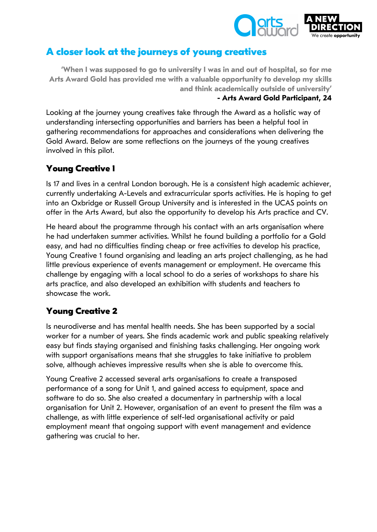

# **A closer look at the journeys of young creatives**

**'When I was supposed to go to university I was in and out of hospital, so for me Arts Award Gold has provided me with a valuable opportunity to develop my skills and think academically outside of university'**

#### **- Arts Award Gold Participant, 24**

Looking at the journey young creatives take through the Award as a holistic way of understanding intersecting opportunities and barriers has been a helpful tool in gathering recommendations for approaches and considerations when delivering the Gold Award. Below are some reflections on the journeys of the young creatives involved in this pilot.

## **Young Creative 1**

Is 17 and lives in a central London borough. He is a consistent high academic achiever, currently undertaking A-Levels and extracurricular sports activities. He is hoping to get into an Oxbridge or Russell Group University and is interested in the UCAS points on offer in the Arts Award, but also the opportunity to develop his Arts practice and CV.

He heard about the programme through his contact with an arts organisation where he had undertaken summer activities. Whilst he found building a portfolio for a Gold easy, and had no difficulties finding cheap or free activities to develop his practice, Young Creative 1 found organising and leading an arts project challenging, as he had little previous experience of events management or employment. He overcame this challenge by engaging with a local school to do a series of workshops to share his arts practice, and also developed an exhibition with students and teachers to showcase the work.

## **Young Creative 2**

Is neurodiverse and has mental health needs. She has been supported by a social worker for a number of years. She finds academic work and public speaking relatively easy but finds staying organised and finishing tasks challenging. Her ongoing work with support organisations means that she struggles to take initiative to problem solve, although achieves impressive results when she is able to overcome this.

Young Creative 2 accessed several arts organisations to create a transposed performance of a song for Unit 1, and gained access to equipment, space and software to do so. She also created a documentary in partnership with a local organisation for Unit 2. However, organisation of an event to present the film was a challenge, as with little experience of self-led organisational activity or paid employment meant that ongoing support with event management and evidence gathering was crucial to her.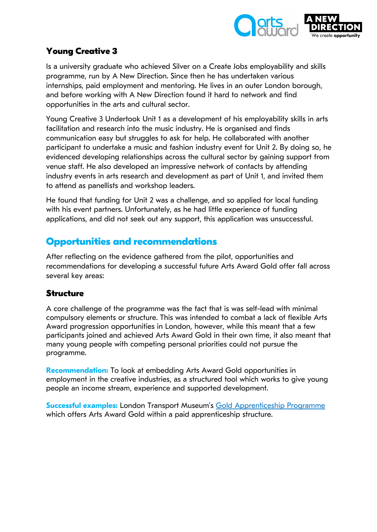

## **Young Creative 3**

Is a university graduate who achieved Silver on a Create Jobs employability and skills programme, run by A New Direction. Since then he has undertaken various internships, paid employment and mentoring. He lives in an outer London borough, and before working with A New Direction found it hard to network and find opportunities in the arts and cultural sector.

Young Creative 3 Undertook Unit 1 as a development of his employability skills in arts facilitation and research into the music industry. He is organised and finds communication easy but struggles to ask for help. He collaborated with another participant to undertake a music and fashion industry event for Unit 2. By doing so, he evidenced developing relationships across the cultural sector by gaining support from venue staff. He also developed an impressive network of contacts by attending industry events in arts research and development as part of Unit 1, and invited them to attend as panellists and workshop leaders.

He found that funding for Unit 2 was a challenge, and so applied for local funding with his event partners. Unfortunately, as he had little experience of funding applications, and did not seek out any support, this application was unsuccessful.

# **Opportunities and recommendations**

After reflecting on the evidence gathered from the pilot, opportunities and recommendations for developing a successful future Arts Award Gold offer fall across several key areas:

## **Structure**

A core challenge of the programme was the fact that is was self-lead with minimal compulsory elements or structure. This was intended to combat a lack of flexible Arts Award progression opportunities in London, however, while this meant that a few participants joined and achieved Arts Award Gold in their own time, it also meant that many young people with competing personal priorities could not pursue the programme.

**Recommendation:** To look at embedding Arts Award Gold opportunities in employment in the creative industries, as a structured tool which works to give young people an income stream, experience and supported development.

**Successful examples:** London Transport Museum's Gold [Apprenticeship](https://www.ltmuseum.co.uk/assets/downloads/pdfs/Apprentice_JD_ACE_15-16.pdf) Programme which offers Arts Award Gold within a paid apprenticeship structure.